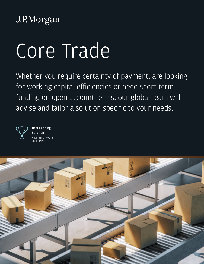# J.P.Morgan

# Core Trade

Whether you require certainty of payment, are looking for working capital efficiencies or need short-term funding on open account terms, our global team will advise and tailor a solution specific to your needs.



Best Funding Solution Adam Smith Award, 2021 (Asia)

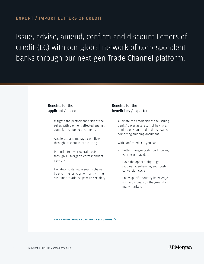Issue, advise, amend, confirm and discount Letters of Credit (LC) with our global network of correspondent banks through our next-gen Trade Channel platform.

## Benefits for the applicant / importer

- Mitigate the performance risk of the seller, with payment effected against compliant shipping documents
- Accelerate and manage cash flow through efficient LC structuring
- Potential to lower overall costs through J.P.Morgan's correspondent network
- Facilitate sustainable supply chains by ensuring sales growth and strong customer relationships with certainty

# Benefits for the beneficiary / exporter

- Alleviate the credit risk of the issuing bank / buyer as a result of having a bank to pay, on the due date, against a complying shipping document
- With confirmed LCs, you can:
	- Better manage cash flow knowing your exact pay date
	- Have the opportunity to get paid early, enhancing your cash conversion cycle
	- Enjoy specific country knowledge with individuals on the ground in many markets

#### **LEARN MORE ABOUT CORE TRADE SOLUTIONS**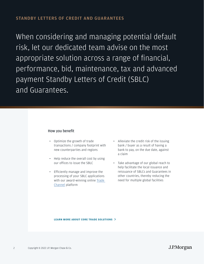When considering and managing potential default risk, let our dedicated team advise on the most appropriate solution across a range of financial, performance, bid, maintenance, tax and advanced payment Standby Letters of Credit (SBLC) and Guarantees.

#### How you benefit

- Optimize the growth of trade transactions / company footprint with new counterparties and regions
- Help reduce the overall cost by using our offices to issue the SBLC
- Efficiently manage and improve the processing of your SBLC applications with our award-winning online [Trade](https://tradeexpressinquiry.jpmorgan.com/tradeinq/  
)  [Channel](https://tradeexpressinquiry.jpmorgan.com/tradeinq/  
) platform
- Alleviate the credit risk of the issuing bank / buyer as a result of having a bank to pay, on the due date, against a claim
- Take advantage of our global reach to help facilitate the local issuance and reissuance of SBLCs and Guarantees in other countries, thereby reducing the need for multiple global facilities

#### **LEARN MORE ABOUT CORE TRADE SOLUTIONS**